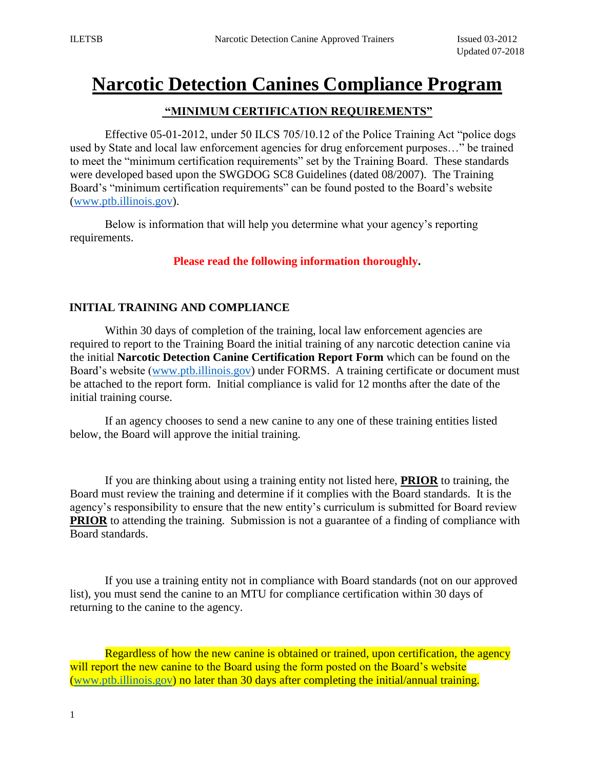# **Narcotic Detection Canines Compliance Program**

#### **"MINIMUM CERTIFICATION REQUIREMENTS"**

Effective 05-01-2012, under 50 ILCS 705/10.12 of the Police Training Act "police dogs used by State and local law enforcement agencies for drug enforcement purposes…" be trained to meet the "minimum certification requirements" set by the Training Board. These standards were developed based upon the SWGDOG SC8 Guidelines (dated 08/2007). The Training Board's "minimum certification requirements" can be found posted to the Board's website [\(www.ptb.illinois.gov\).](http://www.ptb.illinois.gov/)

Below is information that will help you determine what your agency's reporting requirements.

#### **Please read the following information thoroughly.**

### **INITIAL TRAINING AND COMPLIANCE**

Within 30 days of completion of the training, local law enforcement agencies are required to report to the Training Board the initial training of any narcotic detection canine via the initial **Narcotic Detection Canine Certification Report Form** which can be found on the Board's website [\(www.ptb.illinois.gov\)](http://www.ptb.illinois.gov/) under FORMS. A training certificate or document must be attached to the report form. Initial compliance is valid for 12 months after the date of the initial training course.

If an agency chooses to send a new canine to any one of these training entities listed below, the Board will approve the initial training.

If you are thinking about using a training entity not listed here, **PRIOR** to training, the Board must review the training and determine if it complies with the Board standards. It is the agency's responsibility to ensure that the new entity's curriculum is submitted for Board review **PRIOR** to attending the training. Submission is not a guarantee of a finding of compliance with Board standards.

If you use a training entity not in compliance with Board standards (not on our approved list), you must send the canine to an MTU for compliance certification within 30 days of returning to the canine to the agency.

Regardless of how the new canine is obtained or trained, upon certification, the agency will report the new canine to the Board using the form posted on the Board's website [\(www.ptb.illinois.gov\)](http://www.ptb.state.il.us/) no later than 30 days after completing the initial/annual training.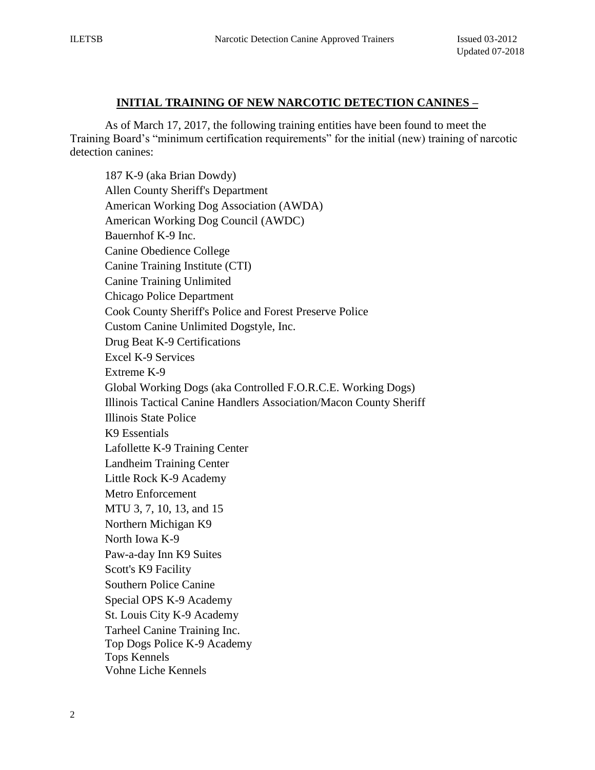#### **INITIAL TRAINING OF NEW NARCOTIC DETECTION CANINES –**

As of March 17, 2017, the following training entities have been found to meet the Training Board's "minimum certification requirements" for the initial (new) training of narcotic detection canines:

187 K-9 (aka Brian Dowdy) Allen County Sheriff's Department American Working Dog Association (AWDA) American Working Dog Council (AWDC) Bauernhof K-9 Inc. Canine Obedience College Canine Training Institute (CTI) Canine Training Unlimited Chicago Police Department Cook County Sheriff's Police and Forest Preserve Police Custom Canine Unlimited Dogstyle, Inc. Drug Beat K-9 Certifications Excel K-9 Services Extreme K-9 Global Working Dogs (aka Controlled F.O.R.C.E. Working Dogs) Illinois Tactical Canine Handlers Association/Macon County Sheriff Illinois State Police K9 Essentials Lafollette K-9 Training Center Landheim Training Center Little Rock K-9 Academy Metro Enforcement MTU 3, 7, 10, 13, and 15 Northern Michigan K9 North Iowa K-9 Paw-a-day Inn K9 Suites Scott's K9 Facility Southern Police Canine Special OPS K-9 Academy St. Louis City K-9 Academy Tarheel Canine Training Inc. Top Dogs Police K-9 Academy Tops Kennels Vohne Liche Kennels